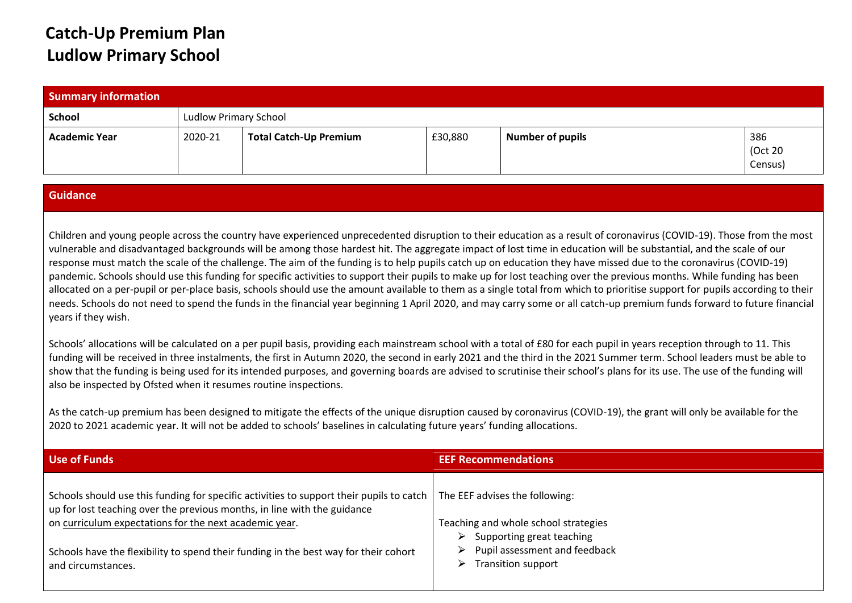## **Catch-Up Premium Plan Ludlow Primary School**

| <b>Summary information</b> |         |                               |         |                         |                           |
|----------------------------|---------|-------------------------------|---------|-------------------------|---------------------------|
| School                     |         | <b>Ludlow Primary School</b>  |         |                         |                           |
| <b>Academic Year</b>       | 2020-21 | <b>Total Catch-Up Premium</b> | £30,880 | <b>Number of pupils</b> | 386<br>(Oct 20<br>Census) |

## **Guidance**

Children and young people across the country have experienced unprecedented disruption to their education as a result of coronavirus (COVID-19). Those from the most vulnerable and disadvantaged backgrounds will be among those hardest hit. The aggregate impact of lost time in education will be substantial, and the scale of our response must match the scale of the challenge. The aim of the funding is to help pupils catch up on education they have missed due to the coronavirus (COVID-19) pandemic. Schools should use this funding for specific activities to support their pupils to make up for lost teaching over the previous months. While funding has been allocated on a per-pupil or per-place basis, schools should use the amount available to them as a single total from which to prioritise support for pupils according to their needs. Schools do not need to spend the funds in the financial year beginning 1 April 2020, and may carry some or all catch-up premium funds forward to future financial years if they wish.

Schools' allocations will be calculated on a per pupil basis, providing each mainstream school with a total of £80 for each pupil in years reception through to 11. This funding will be received in three instalments, the first in Autumn 2020, the second in early 2021 and the third in the 2021 Summer term. School leaders must be able to show that the funding is being used for its intended purposes, and governing boards are advised to scrutinise their school's plans for its use. The use of the funding will also be inspected by Ofsted when it resumes routine inspections.

As the catch-up premium has been designed to mitigate the effects of the unique disruption caused by coronavirus (COVID-19), the grant will only be available for the 2020 to 2021 academic year. It will not be added to schools' baselines in calculating future years' funding allocations.

| Use of Funds                                                                                                                                                         | <b>EEF Recommendations</b>                                                                                  |
|----------------------------------------------------------------------------------------------------------------------------------------------------------------------|-------------------------------------------------------------------------------------------------------------|
| Schools should use this funding for specific activities to support their pupils to catch<br>up for lost teaching over the previous months, in line with the guidance | The EEF advises the following:                                                                              |
| on curriculum expectations for the next academic year.                                                                                                               | Teaching and whole school strategies                                                                        |
| Schools have the flexibility to spend their funding in the best way for their cohort<br>and circumstances.                                                           | Supporting great teaching<br>Pupil assessment and feedback<br><b>Transition support</b><br>$\triangleright$ |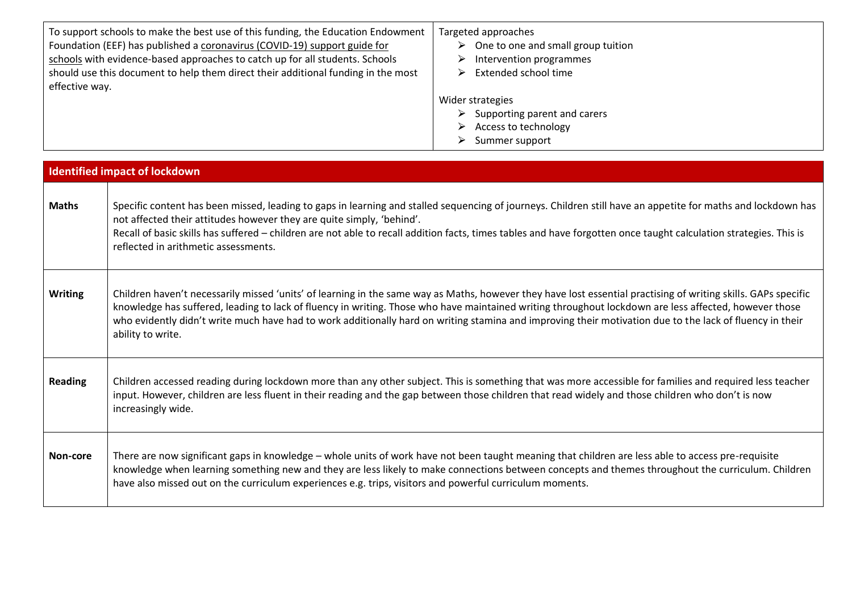| To support schools to make the best use of this funding, the Education Endowment<br>Foundation (EEF) has published a coronavirus (COVID-19) support guide for<br>schools with evidence-based approaches to catch up for all students. Schools<br>should use this document to help them direct their additional funding in the most<br>effective way. | Targeted approaches<br>One to one and small group tuition<br>Intervention programmes<br>Extended school time                       |
|------------------------------------------------------------------------------------------------------------------------------------------------------------------------------------------------------------------------------------------------------------------------------------------------------------------------------------------------------|------------------------------------------------------------------------------------------------------------------------------------|
|                                                                                                                                                                                                                                                                                                                                                      | Wider strategies<br>Supporting parent and carers<br>$\triangleright$<br>Access to technology<br>$\triangleright$<br>Summer support |

|                | <b>Identified impact of lockdown</b>                                                                                                                                                                                                                                                                                                                                                                                                                                                                     |
|----------------|----------------------------------------------------------------------------------------------------------------------------------------------------------------------------------------------------------------------------------------------------------------------------------------------------------------------------------------------------------------------------------------------------------------------------------------------------------------------------------------------------------|
| <b>Maths</b>   | Specific content has been missed, leading to gaps in learning and stalled sequencing of journeys. Children still have an appetite for maths and lockdown has<br>not affected their attitudes however they are quite simply, 'behind'.<br>Recall of basic skills has suffered - children are not able to recall addition facts, times tables and have forgotten once taught calculation strategies. This is<br>reflected in arithmetic assessments.                                                       |
| <b>Writing</b> | Children haven't necessarily missed 'units' of learning in the same way as Maths, however they have lost essential practising of writing skills. GAPs specific<br>knowledge has suffered, leading to lack of fluency in writing. Those who have maintained writing throughout lockdown are less affected, however those<br>who evidently didn't write much have had to work additionally hard on writing stamina and improving their motivation due to the lack of fluency in their<br>ability to write. |
| <b>Reading</b> | Children accessed reading during lockdown more than any other subject. This is something that was more accessible for families and required less teacher<br>input. However, children are less fluent in their reading and the gap between those children that read widely and those children who don't is now<br>increasingly wide.                                                                                                                                                                      |
| Non-core       | There are now significant gaps in knowledge - whole units of work have not been taught meaning that children are less able to access pre-requisite<br>knowledge when learning something new and they are less likely to make connections between concepts and themes throughout the curriculum. Children<br>have also missed out on the curriculum experiences e.g. trips, visitors and powerful curriculum moments.                                                                                     |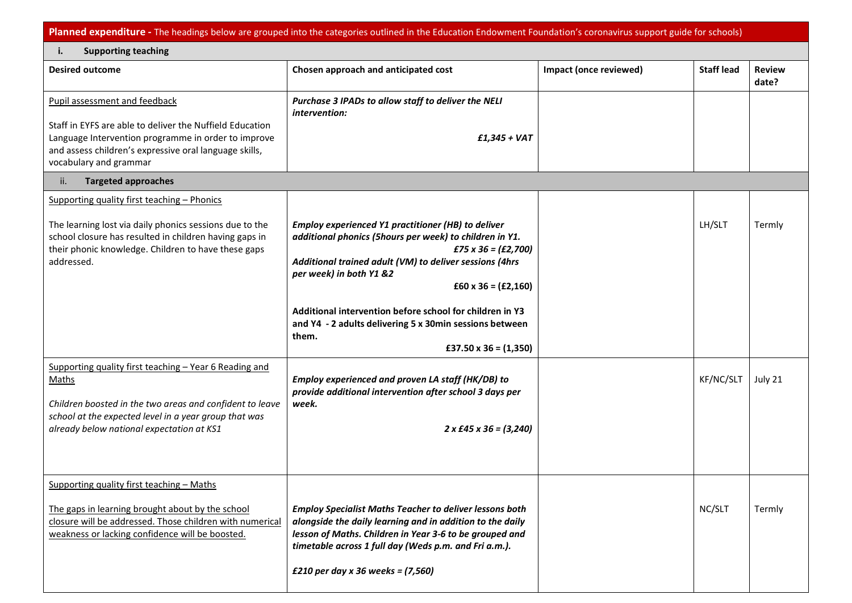**Planned expenditure -** The headings below are grouped into the categories outlined in the Education Endowment Foundation's coronavirus support guide for schools)

| <b>Supporting teaching</b><br>i.                                                                                                                                                                                                         |                                                                                                                                                                                                                                                                                                                                                                                                                                 |                        |                   |                        |
|------------------------------------------------------------------------------------------------------------------------------------------------------------------------------------------------------------------------------------------|---------------------------------------------------------------------------------------------------------------------------------------------------------------------------------------------------------------------------------------------------------------------------------------------------------------------------------------------------------------------------------------------------------------------------------|------------------------|-------------------|------------------------|
| <b>Desired outcome</b>                                                                                                                                                                                                                   | Chosen approach and anticipated cost                                                                                                                                                                                                                                                                                                                                                                                            | Impact (once reviewed) | <b>Staff lead</b> | <b>Review</b><br>date? |
| Pupil assessment and feedback<br>Staff in EYFS are able to deliver the Nuffield Education<br>Language Intervention programme in order to improve<br>and assess children's expressive oral language skills,<br>vocabulary and grammar     | Purchase 3 IPADs to allow staff to deliver the NELI<br>intervention:<br>$f1,345 + VAT$                                                                                                                                                                                                                                                                                                                                          |                        |                   |                        |
| <b>Targeted approaches</b><br>ii.                                                                                                                                                                                                        |                                                                                                                                                                                                                                                                                                                                                                                                                                 |                        |                   |                        |
| Supporting quality first teaching - Phonics<br>The learning lost via daily phonics sessions due to the<br>school closure has resulted in children having gaps in<br>their phonic knowledge. Children to have these gaps<br>addressed.    | Employ experienced Y1 practitioner (HB) to deliver<br>additional phonics (5hours per week) to children in Y1.<br>$£75 \times 36 = (£2,700)$<br>Additional trained adult (VM) to deliver sessions (4hrs<br>per week) in both Y1 &2<br>$£60 \times 36 = (£2,160)$<br>Additional intervention before school for children in Y3<br>and Y4 - 2 adults delivering 5 x 30min sessions between<br>them.<br>£37.50 $\times$ 36 = (1,350) |                        | LH/SLT            | Termly                 |
| Supporting quality first teaching - Year 6 Reading and<br><b>Maths</b><br>Children boosted in the two areas and confident to leave<br>school at the expected level in a year group that was<br>already below national expectation at KS1 | Employ experienced and proven LA staff (HK/DB) to<br>provide additional intervention after school 3 days per<br>week.<br>$2 \times$ £45 $\times$ 36 = (3,240)                                                                                                                                                                                                                                                                   |                        | KF/NC/SLT         | July 21                |
| Supporting quality first teaching - Maths<br>The gaps in learning brought about by the school<br>closure will be addressed. Those children with numerical<br>weakness or lacking confidence will be boosted.                             | <b>Employ Specialist Maths Teacher to deliver lessons both</b><br>alongside the daily learning and in addition to the daily<br>lesson of Maths. Children in Year 3-6 to be grouped and<br>timetable across 1 full day (Weds p.m. and Fri a.m.).<br>£210 per day x 36 weeks = $(7,560)$                                                                                                                                          |                        | NC/SLT            | Termly                 |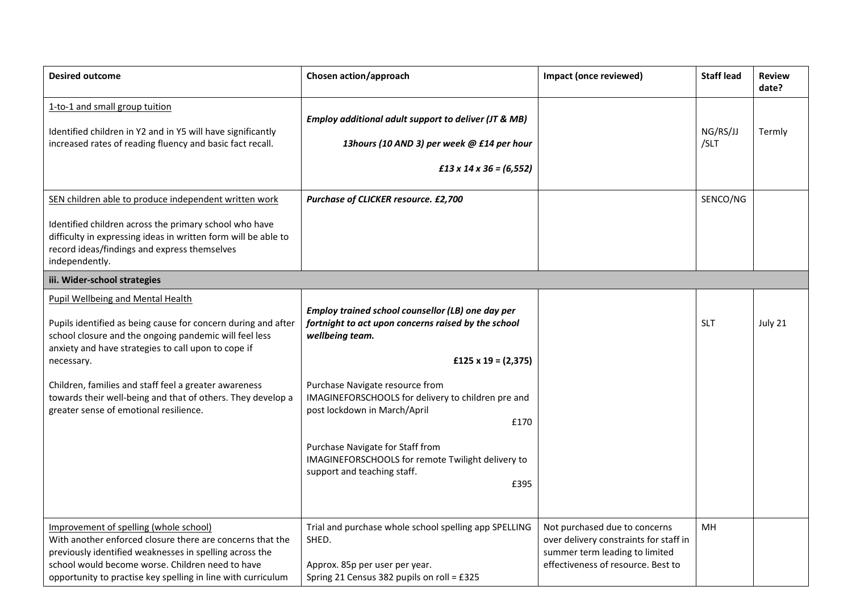| <b>Desired outcome</b>                                                                                                                                                                                                                                                                                                                                                                                     | Chosen action/approach                                                                                                                                                                                                                                                                                                                                                                                                | Impact (once reviewed)                                                                                                                          | <b>Staff lead</b> | <b>Review</b><br>date? |
|------------------------------------------------------------------------------------------------------------------------------------------------------------------------------------------------------------------------------------------------------------------------------------------------------------------------------------------------------------------------------------------------------------|-----------------------------------------------------------------------------------------------------------------------------------------------------------------------------------------------------------------------------------------------------------------------------------------------------------------------------------------------------------------------------------------------------------------------|-------------------------------------------------------------------------------------------------------------------------------------------------|-------------------|------------------------|
| 1-to-1 and small group tuition<br>Identified children in Y2 and in Y5 will have significantly<br>increased rates of reading fluency and basic fact recall.                                                                                                                                                                                                                                                 | Employ additional adult support to deliver (JT & MB)<br>13hours (10 AND 3) per week @ £14 per hour<br>$f13 \times 14 \times 36 = (6,552)$                                                                                                                                                                                                                                                                             |                                                                                                                                                 | NG/RS/JJ<br>/SLT  | Termly                 |
| SEN children able to produce independent written work                                                                                                                                                                                                                                                                                                                                                      | Purchase of CLICKER resource. £2,700                                                                                                                                                                                                                                                                                                                                                                                  |                                                                                                                                                 | SENCO/NG          |                        |
| Identified children across the primary school who have<br>difficulty in expressing ideas in written form will be able to<br>record ideas/findings and express themselves<br>independently.                                                                                                                                                                                                                 |                                                                                                                                                                                                                                                                                                                                                                                                                       |                                                                                                                                                 |                   |                        |
| iii. Wider-school strategies                                                                                                                                                                                                                                                                                                                                                                               |                                                                                                                                                                                                                                                                                                                                                                                                                       |                                                                                                                                                 |                   |                        |
| <b>Pupil Wellbeing and Mental Health</b><br>Pupils identified as being cause for concern during and after<br>school closure and the ongoing pandemic will feel less<br>anxiety and have strategies to call upon to cope if<br>necessary.<br>Children, families and staff feel a greater awareness<br>towards their well-being and that of others. They develop a<br>greater sense of emotional resilience. | Employ trained school counsellor (LB) one day per<br>fortnight to act upon concerns raised by the school<br>wellbeing team.<br>£125 x 19 = $(2,375)$<br>Purchase Navigate resource from<br>IMAGINEFORSCHOOLS for delivery to children pre and<br>post lockdown in March/April<br>£170<br>Purchase Navigate for Staff from<br>IMAGINEFORSCHOOLS for remote Twilight delivery to<br>support and teaching staff.<br>£395 |                                                                                                                                                 | <b>SLT</b>        | July 21                |
| Improvement of spelling (whole school)<br>With another enforced closure there are concerns that the<br>previously identified weaknesses in spelling across the<br>school would become worse. Children need to have<br>opportunity to practise key spelling in line with curriculum                                                                                                                         | Trial and purchase whole school spelling app SPELLING<br>SHED.<br>Approx. 85p per user per year.<br>Spring 21 Census 382 pupils on roll = £325                                                                                                                                                                                                                                                                        | Not purchased due to concerns<br>over delivery constraints for staff in<br>summer term leading to limited<br>effectiveness of resource. Best to | MH                |                        |